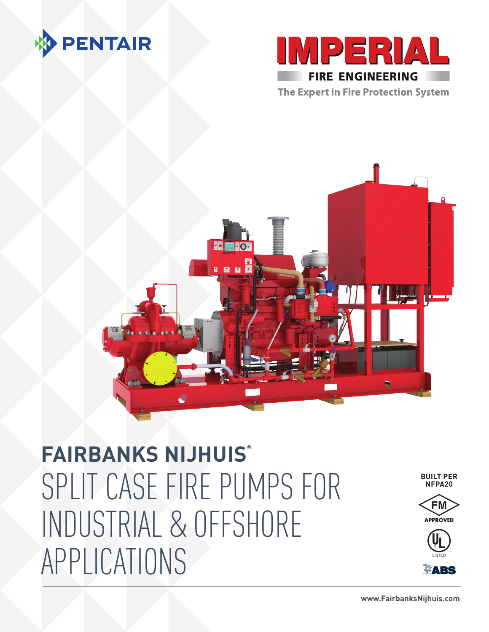





## **FAIRBANKS NIJHUIS®** SPLIT CASE FIRE PUMPS FOR INDUSTRIAL & OFFSHORE APPLICATIONS

**BUILT PER NFPA20**





**VARS**